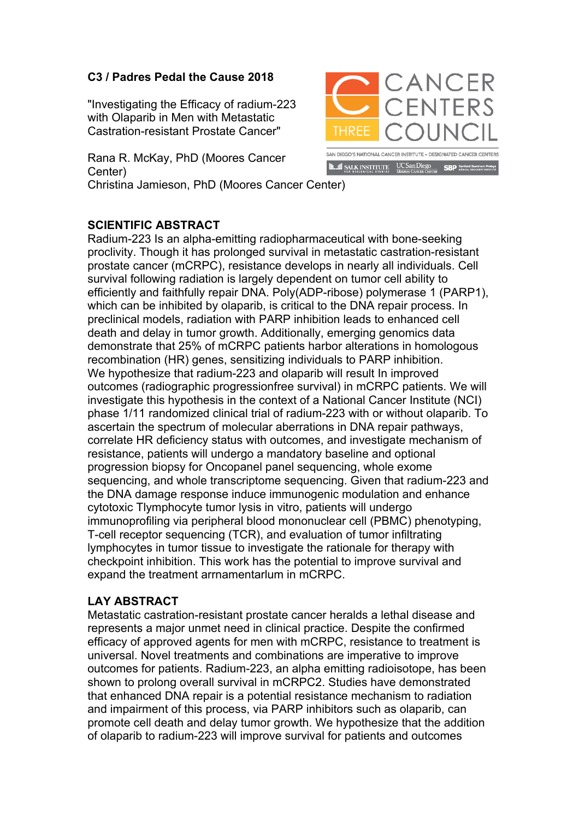## **C3 / Padres Pedal the Cause 2018**

"Investigating the Efficacy of radium-223 with Olaparib in Men with Metastatic Castration-resistant Prostate Cancer"

Rana R. McKay, PhD (Moores Cancer Center)

Christina Jamieson, PhD (Moores Cancer Center)

## **SCIENTIFIC ABSTRACT**

Radium-223 Is an alpha-emitting radiopharmaceutical with bone-seeking proclivity. Though it has prolonged survival in metastatic castration-resistant prostate cancer (mCRPC), resistance develops in nearly all individuals. Cell survival following radiation is largely dependent on tumor cell ability to efficiently and faithfully repair DNA. Poly(ADP-ribose) polymerase 1 (PARP1), which can be inhibited by olaparib, is critical to the DNA repair process. In preclinical models, radiation with PARP inhibition leads to enhanced cell death and delay in tumor growth. Additionally, emerging genomics data demonstrate that 25% of mCRPC patients harbor alterations in homologous recombination (HR) genes, sensitizing individuals to PARP inhibition. We hypothesize that radium-223 and olaparib will result In improved outcomes (radiographic progressionfree survival) in mCRPC patients. We will investigate this hypothesis in the context of a National Cancer Institute (NCI) phase 1/11 randomized clinical trial of radium-223 with or without olaparib. To ascertain the spectrum of molecular aberrations in DNA repair pathways, correlate HR deficiency status with outcomes, and investigate mechanism of resistance, patients will undergo a mandatory baseline and optional progression biopsy for Oncopanel panel sequencing, whole exome sequencing, and whole transcriptome sequencing. Given that radium-223 and the DNA damage response induce immunogenic modulation and enhance cytotoxic Tlymphocyte tumor lysis in vitro, patients will undergo immunoprofiling via peripheral blood mononuclear cell (PBMC) phenotyping, T-cell receptor sequencing (TCR), and evaluation of tumor infiltrating lymphocytes in tumor tissue to investigate the rationale for therapy with checkpoint inhibition. This work has the potential to improve survival and expand the treatment arrnamentarlum in mCRPC.

## **LAY ABSTRACT**

Metastatic castration-resistant prostate cancer heralds a lethal disease and represents a major unmet need in clinical practice. Despite the confirmed efficacy of approved agents for men with mCRPC, resistance to treatment is universal. Novel treatments and combinations are imperative to improve outcomes for patients. Radium-223, an alpha emitting radioisotope, has been shown to prolong overall survival in mCRPC2. Studies have demonstrated that enhanced DNA repair is a potential resistance mechanism to radiation and impairment of this process, via PARP inhibitors such as olaparib, can promote cell death and delay tumor growth. We hypothesize that the addition of olaparib to radium-223 will improve survival for patients and outcomes



**LL\_ILL\_SALK\_INSTITUTE** UCSan Diego **SBP** Sanford Burnham P